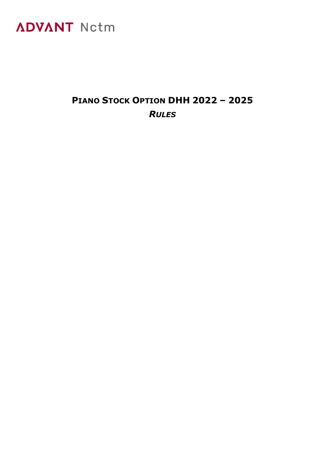

### **PIANO STOCK OPTION DHH 2022 – 2025** *RULES*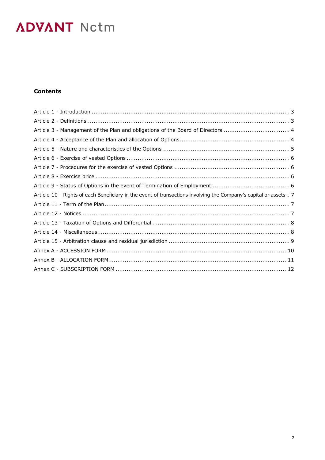### **Contents**

| Article 3 - Management of the Plan and obligations of the Board of Directors  4                                   |  |
|-------------------------------------------------------------------------------------------------------------------|--|
|                                                                                                                   |  |
|                                                                                                                   |  |
|                                                                                                                   |  |
|                                                                                                                   |  |
|                                                                                                                   |  |
|                                                                                                                   |  |
| Article 10 - Rights of each Beneficiary in the event of transactions involving the Company's capital or assets  7 |  |
|                                                                                                                   |  |
|                                                                                                                   |  |
|                                                                                                                   |  |
|                                                                                                                   |  |
|                                                                                                                   |  |
|                                                                                                                   |  |
|                                                                                                                   |  |
|                                                                                                                   |  |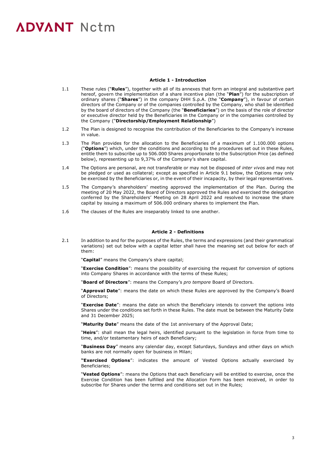### **Article 1 - Introduction**

- 1.1 These rules ("**Rules**"), together with all of its annexes that form an integral and substantive part hereof, govern the implementation of a share incentive plan (the "**Plan**") for the subscription of ordinary shares ("**Shares**") in the company DHH S.p.A. (the "**Company**"), in favour of certain directors of the Company or of the companies controlled by the Company, who shall be identified by the board of directors of the Company (the "**Beneficiaries**") on the basis of the role of director or executive director held by the Beneficiaries in the Company or in the companies controlled by the Company ("**Directorship/Employment Relationship**")
- 1.2 The Plan is designed to recognise the contribution of the Beneficiaries to the Company's increase in value.
- 1.3 The Plan provides for the allocation to the Beneficiaries of a maximum of 1.100.000 options ("**Options**") which, under the conditions and according to the procedures set out in these Rules, entitle them to subscribe up to 506.000 Shares proportionate to the Subscription Price (as defined below), representing up to 9,37% of the Company's share capital.
- 1.4 The Options are personal, are not transferable or may not be disposed of *inter vivos* and may not be pledged or used as collateral; except as specified in Article 9.1 below, the Options may only be exercised by the Beneficiaries or, in the event of their incapacity, by their legal representatives.
- 1.5 The Company's shareholders' meeting approved the implementation of the Plan. During the meeting of 20 May 2022, the Board of Directors approved the Rules and exercised the delegation conferred by the Shareholders' Meeting on 28 April 2022 and resolved to increase the share capital by issuing a maximum of 506.000 ordinary shares to implement the Plan.
- 1.6 The clauses of the Rules are inseparably linked to one another.

### **Article 2 - Definitions**

2.1 In addition to and for the purposes of the Rules, the terms and expressions (and their grammatical variations) set out below with a capital letter shall have the meaning set out below for each of them:

"**Capital**" means the Company's share capital;

"**Exercise Condition**": means the possibility of exercising the request for conversion of options into Company Shares in accordance with the terms of these Rules;

"**Board of Directors**": means the Company's *pro tempore* Board of Directors.

"**Approval Date**": means the date on which these Rules are approved by the Company's Board of Directors;

"**Exercise Date**": means the date on which the Beneficiary intends to convert the options into Shares under the conditions set forth in these Rules. The date must be between the Maturity Date and 31 December 2025;

"**Maturity Date**" means the date of the 1st anniversary of the Approval Date;

"**Heirs**": shall mean the legal heirs, identified pursuant to the legislation in force from time to time, and/or testamentary heirs of each Beneficiary;

"**Business Day**" means any calendar day, except Saturdays, Sundays and other days on which banks are not normally open for business in Milan;

**"Exercised Options**": indicates the amount of Vested Options actually exercised by Beneficiaries;

"**Vested Options**": means the Options that each Beneficiary will be entitled to exercise, once the Exercise Condition has been fulfilled and the Allocation Form has been received, in order to subscribe for Shares under the terms and conditions set out in the Rules;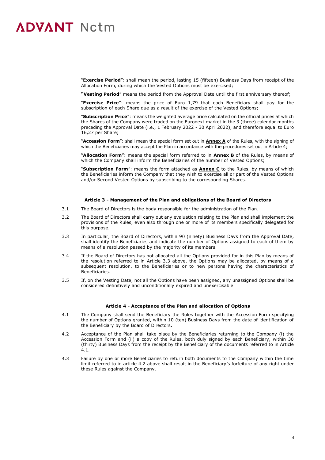"**Exercise Period**": shall mean the period, lasting 15 (fifteen) Business Days from receipt of the Allocation Form, during which the Vested Options must be exercised;

**"Vesting Period**" means the period from the Approval Date until the first anniversary thereof;

"**Exercise Price**": means the price of Euro 1,79 that each Beneficiary shall pay for the subscription of each Share due as a result of the exercise of the Vested Options;

"**Subscription Price**": means the weighted average price calculated on the official prices at which the Shares of the Company were traded on the Euronext market in the 3 (three) calendar months preceding the Approval Date (i.e., 1 February 2022 - 30 April 2022), and therefore equal to Euro 16,27 per Share;

"**Accession Form**": shall mean the special form set out in **Annex A** of the Rules, with the signing of which the Beneficiaries may accept the Plan in accordance with the procedures set out in Article 4;

"**Allocation Form**": means the special form referred to in **Annex B** of the Rules, by means of which the Company shall inform the Beneficiaries of the number of Vested Options;

"**Subscription Form**": means the form attached as **Annex C** to the Rules, by means of which the Beneficiaries inform the Company that they wish to exercise all or part of the Vested Options and/or Second Vested Options by subscribing to the corresponding Shares.

### **Article 3 - Management of the Plan and obligations of the Board of Directors**

- 3.1 The Board of Directors is the body responsible for the administration of the Plan.
- 3.2 The Board of Directors shall carry out any evaluation relating to the Plan and shall implement the provisions of the Rules, even also through one or more of its members specifically delegated for this purpose.
- 3.3 In particular, the Board of Directors, within 90 (ninety) Business Days from the Approval Date, shall identify the Beneficiaries and indicate the number of Options assigned to each of them by means of a resolution passed by the majority of its members.
- 3.4 If the Board of Directors has not allocated all the Options provided for in this Plan by means of the resolution referred to in Article 3.3 above, the Options may be allocated, by means of a subsequent resolution, to the Beneficiaries or to new persons having the characteristics of Beneficiaries.
- 3.5 If, on the Vesting Date, not all the Options have been assigned, any unassigned Options shall be considered definitively and unconditionally expired and unexercisable.

#### **Article 4 - Acceptance of the Plan and allocation of Options**

- 4.1 The Company shall send the Beneficiary the Rules together with the Accession Form specifying the number of Options granted, within 10 (ten) Business Days from the date of identification of the Beneficiary by the Board of Directors.
- 4.2 Acceptance of the Plan shall take place by the Beneficiaries returning to the Company (i) the Accession Form and (ii) a copy of the Rules, both duly signed by each Beneficiary, within 30 (thirty) Business Days from the receipt by the Beneficiary of the documents referred to in Article  $4.1$
- 4.3 Failure by one or more Beneficiaries to return both documents to the Company within the time limit referred to in article 4.2 above shall result in the Beneficiary's forfeiture of any right under these Rules against the Company.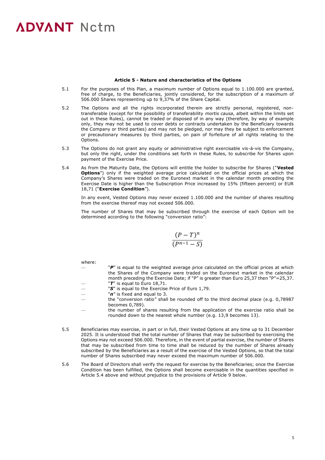#### **Article 5 - Nature and characteristics of the Options**

- 5.1 For the purposes of this Plan, a maximum number of Options equal to 1.100.000 are granted, free of charge, to the Beneficiaries, jointly considered, for the subscription of a maximum of 506.000 Shares representing up to 9,37% of the Share Capital.
- 5.2 The Options and all the rights incorporated therein are strictly personal, registered, nontransferable (except for the possibility of transferability *mortis causa*, albeit within the limits set out in these Rules), cannot be traded or disposed of in any way (therefore, by way of example only, they may not be used to cover debts or contracts undertaken by the Beneficiary towards the Company or third parties) and may not be pledged, nor may they be subject to enforcement or precautionary measures by third parties, on pain of forfeiture of all rights relating to the **Options**
- 5.3 The Options do not grant any equity or administrative right exercisable vis-à-vis the Company, but only the right, under the conditions set forth in these Rules, to subscribe for Shares upon payment of the Exercise Price.
- 5.4 As from the Maturity Date, the Options will entitle the holder to subscribe for Shares ("**Vested Options**") only if the weighted average price calculated on the official prices at which the Company's Shares were traded on the Euronext market in the calendar month preceding the Exercise Date is higher than the Subscription Price increased by 15% (fifteen percent) or EUR 18,71 ("**Exercise Condition**").

In any event, Vested Options may never exceed 1.100.000 and the number of shares resulting from the exercise thereof may not exceed 506.000.

The number of Shares that may be subscribed through the exercise of each Option will be determined according to the following "conversion ratio":

$$
\frac{(P-T)^n}{(P^{n-1}-S)}
$$

where:

- "P" is equal to the weighted average price calculated on the official prices at which the Shares of the Company were traded on the Euronext market in the calendar month preceding the Exercise Date; if "P" is greater than Euro 25,37 then "P"=25,37. "T" is equal to Euro 18,71.
- "S" is equal to the Exercise Price of Euro 1,79.
- "n" is fixed and equal to 3.
- the "conversion ratio" shall be rounded off to the third decimal place (e.g. 0,78987 becomes 0,789).
- the number of shares resulting from the application of the exercise ratio shall be rounded down to the nearest whole number (e.g. 13,9 becomes 13).
- 5.5 Beneficiaries may exercise, in part or in full, their Vested Options at any time up to 31 December 2025. It is understood that the total number of Shares that may be subscribed by exercising the Options may not exceed 506.000. Therefore, in the event of partial exercise, the number of Shares that may be subscribed from time to time shall be reduced by the number of Shares already subscribed by the Beneficiaries as a result of the exercise of the Vested Options, so that the total number of Shares subscribed may never exceed the maximum number of 506.000.
- 5.6 The Board of Directors shall verify the request for exercise by the Beneficiaries; once the Exercise Condition has been fulfilled, the Options shall become exercisable in the quantities specified in Article 5.4 above and without prejudice to the provisions of Article 9 below.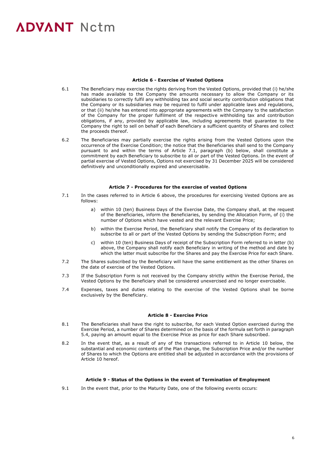### **Article 6 - Exercise of Vested Options**

- 6.1 The Beneficiary may exercise the rights deriving from the Vested Options, provided that (i) he/she has made available to the Company the amounts necessary to allow the Company or its subsidiaries to correctly fulfil any withholding tax and social security contribution obligations that the Company or its subsidiaries may be required to fulfil under applicable laws and regulations, or that (ii) he/she has entered into appropriate agreements with the Company to the satisfaction of the Company for the proper fulfilment of the respective withholding tax and contribution obligations, if any, provided by applicable law, including agreements that guarantee to the Company the right to sell on behalf of each Beneficiary a sufficient quantity of Shares and collect the proceeds thereof.
- 6.2 The Beneficiaries may partially exercise the rights arising from the Vested Options upon the occurrence of the Exercise Condition; the notice that the Beneficiaries shall send to the Company pursuant to and within the terms of Article 7.1, paragraph (b) below, shall constitute a commitment by each Beneficiary to subscribe to all or part of the Vested Options. In the event of partial exercise of Vested Options, Options not exercised by 31 December 2025 will be considered definitively and unconditionally expired and unexercisable.

### **Article 7 - Procedures for the exercise of vested Options**

- 7.1 In the cases referred to in Article 6 above, the procedures for exercising Vested Options are as follows:
	- a) within 10 (ten) Business Days of the Exercise Date, the Company shall, at the request of the Beneficiaries, inform the Beneficiaries, by sending the Allocation Form, of (i) the number of Options which have vested and the relevant Exercise Price;
	- b) within the Exercise Period, the Beneficiary shall notify the Company of its declaration to subscribe to all or part of the Vested Options by sending the Subscription Form; and
	- c) within 10 (ten) Business Days of receipt of the Subscription Form referred to in letter (b) above, the Company shall notify each Beneficiary in writing of the method and date by which the latter must subscribe for the Shares and pay the Exercise Price for each Share.
- 7.2 The Shares subscribed by the Beneficiary will have the same entitlement as the other Shares on the date of exercise of the Vested Options.
- 7.3 If the Subscription Form is not received by the Company strictly within the Exercise Period, the Vested Options by the Beneficiary shall be considered unexercised and no longer exercisable.
- 7.4 Expenses, taxes and duties relating to the exercise of the Vested Options shall be borne exclusively by the Beneficiary.

#### **Article 8 - Exercise Price**

- 8.1 The Beneficiaries shall have the right to subscribe, for each Vested Option exercised during the Exercise Period, a number of Shares determined on the basis of the formula set forth in paragraph 5.4, paying an amount equal to the Exercise Price as price for each Share subscribed.
- 8.2 In the event that, as a result of any of the transactions referred to in Article 10 below, the substantial and economic contents of the Plan change, the Subscription Price and/or the number of Shares to which the Options are entitled shall be adjusted in accordance with the provisions of Article 10 hereof.

#### **Article 9 - Status of the Options in the event of Termination of Employment**

9.1 In the event that, prior to the Maturity Date, one of the following events occurs: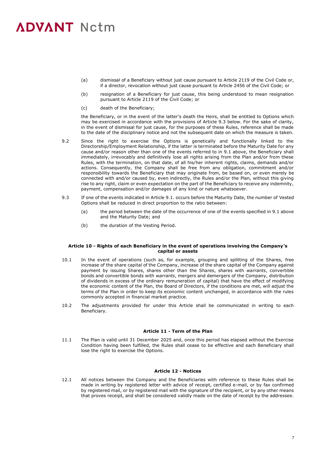- (a) dismissal of a Beneficiary without just cause pursuant to Article 2119 of the Civil Code or, if a director, revocation without just cause pursuant to Article 2456 of the Civil Code; or
- (b) resignation of a Beneficiary for just cause, this being understood to mean resignation pursuant to Article 2119 of the Civil Code; or
- (c) death of the Beneficiary;

the Beneficiary, or in the event of the latter's death the Heirs, shall be entitled to Options which may be exercised in accordance with the provisions of Article 9.3 below. For the sake of clarity, in the event of dismissal for just cause, for the purposes of these Rules, reference shall be made to the date of the disciplinary notice and not the subsequent date on which the measure is taken.

- 9.2 Since the right to exercise the Options is genetically and functionally linked to the Directorship/Employment Relationship, if the latter is terminated before the Maturity Date for any cause and/or reason other than one of the events referred to in 9.1 above, the Beneficiary shall immediately, irrevocably and definitively lose all rights arising from the Plan and/or from these Rules, with the termination, on that date, of all his/her inherent rights, claims, demands and/or actions. Consequently, the Company shall be free from any obligation, commitment and/or responsibility towards the Beneficiary that may originate from, be based on, or even merely be connected with and/or caused by, even indirectly, the Rules and/or the Plan, without this giving rise to any right, claim or even expectation on the part of the Beneficiary to receive any indemnity, payment, compensation and/or damages of any kind or nature whatsoever.
- 9.3 If one of the events indicated in Article 9.1. occurs before the Maturity Date, the number of Vested Options shall be reduced in direct proportion to the ratio between:
	- (a) the period between the date of the occurrence of one of the events specified in 9.1 above and the Maturity Date; and
	- (b) the duration of the Vesting Period.

#### **Article 10 - Rights of each Beneficiary in the event of operations involving the Company's capital or assets**

- 10.1 In the event of operations (such as, for example, grouping and splitting of the Shares, free increase of the share capital of the Company, increase of the share capital of the Company against payment by issuing Shares, shares other than the Shares, shares with *warrants*, convertible bonds and convertible bonds with *warrants*, mergers and demergers of the Company, distribution of dividends in excess of the ordinary remuneration of capital) that have the effect of modifying the economic content of the Plan, the Board of Directors, if the conditions are met, will adjust the terms of the Plan in order to keep its economic content unchanged, in accordance with the rules commonly accepted in financial market practice.
- 10.2 The adjustments provided for under this Article shall be communicated in writing to each Beneficiary.

#### **Article 11 - Term of the Plan**

11.1 The Plan is valid until 31 December 2025 and, once this period has elapsed without the Exercise Condition having been fulfilled, the Rules shall cease to be effective and each Beneficiary shall lose the right to exercise the Options.

### **Article 12 - Notices**

12.1 All notices between the Company and the Beneficiaries with reference to these Rules shall be made in writing by registered letter with advice of receipt, certified e-mail, or by fax confirmed by registered mail, or by registered mail with the signature of the recipient, or by any other means that proves receipt, and shall be considered validly made on the date of receipt by the addressee.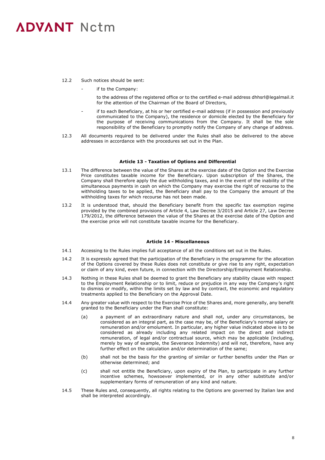- 12.2 Such notices should be sent:
	- if to the Company:

to the address of the registered office or to the certified e-mail address dhhsrl@legalmail.it for the attention of the Chairman of the Board of Directors,

- if to each Beneficiary, at his or her certified e-mail address (if in possession and previously communicated to the Company), the residence or domicile elected by the Beneficiary for the purpose of receiving communications from the Company. It shall be the sole responsibility of the Beneficiary to promptly notify the Company of any change of address.
- 12.3 All documents required to be delivered under the Rules shall also be delivered to the above addresses in accordance with the procedures set out in the Plan.

### **Article 13 - Taxation of Options and Differential**

- 13.1 The difference between the value of the Shares at the exercise date of the Option and the Exercise Price constitutes taxable income for the Beneficiary. Upon subscription of the Shares, the Company shall therefore apply the due withholding taxes, and in the event of the inability of the simultaneous payments in cash on which the Company may exercise the right of recourse to the withholding taxes to be applied, the Beneficiary shall pay to the Company the amount of the withholding taxes for which recourse has not been made.
- 13.2 It is understood that, should the Beneficiary benefit from the specific tax exemption regime provided by the combined provisions of Article 4, Law Decree 3/2015 and Article 27, Law Decree 179/2012, the difference between the value of the Shares at the exercise date of the Option and the exercise price will not constitute taxable income for the Beneficiary.

### **Article 14 - Miscellaneous**

- 14.1 Accessing to the Rules implies full acceptance of all the conditions set out in the Rules.
- 14.2 It is expressly agreed that the participation of the Beneficiary in the programme for the allocation of the Options covered by these Rules does not constitute or give rise to any right, expectation or claim of any kind, even future, in connection with the Directorship/Employment Relationship.
- 14.3 Nothing in these Rules shall be deemed to grant the Beneficiary any stability clause with respect to the Employment Relationship or to limit, reduce or prejudice in any way the Company's right to dismiss or modify, within the limits set by law and by contract, the economic and regulatory treatments applied to the Beneficiary on the Approval Date.
- 14.4 Any greater value with respect to the Exercise Price of the Shares and, more generally, any benefit granted to the Beneficiary under the Plan shall constitute:
	- (a) a payment of an extraordinary nature and shall not, under any circumstances, be considered as an integral part, as the case may be, of the Beneficiary's normal salary or remuneration and/or emolument. In particular, any higher value indicated above is to be considered as already including any related impact on the direct and indirect remuneration, of legal and/or contractual source, which may be applicable (including, merely by way of example, the Severance Indemnity) and will not, therefore, have any further effect on the calculation and/or determination of the same;
	- (b) shall not be the basis for the granting of similar or further benefits under the Plan or otherwise determined; and
	- (c) shall not entitle the Beneficiary, upon expiry of the Plan, to participate in any further incentive schemes, howsoever implemented, or in any other substitute and/or supplementary forms of remuneration of any kind and nature.
- 14.5 These Rules and, consequently, all rights relating to the Options are governed by Italian law and shall be interpreted accordingly.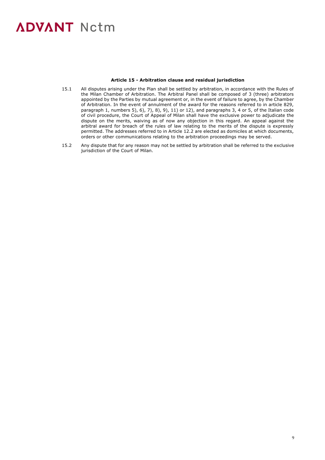### **Article 15 - Arbitration clause and residual jurisdiction**

- 15.1 All disputes arising under the Plan shall be settled by arbitration, in accordance with the Rules of the Milan Chamber of Arbitration. The Arbitral Panel shall be composed of 3 (three) arbitrators appointed by the Parties by mutual agreement or, in the event of failure to agree, by the Chamber of Arbitration. In the event of annulment of the award for the reasons referred to in article 829, paragraph 1, numbers 5), 6), 7), 8), 9), 11) or 12), and paragraphs 3, 4 or 5, of the Italian code of civil procedure, the Court of Appeal of Milan shall have the exclusive power to adjudicate the dispute on the merits, waiving as of now any objection in this regard. An appeal against the arbitral award for breach of the rules of law relating to the merits of the dispute is expressly permitted. The addresses referred to in Article 12.2 are elected as domiciles at which documents, orders or other communications relating to the arbitration proceedings may be served.
- 15.2 Any dispute that for any reason may not be settled by arbitration shall be referred to the exclusive jurisdiction of the Court of Milan.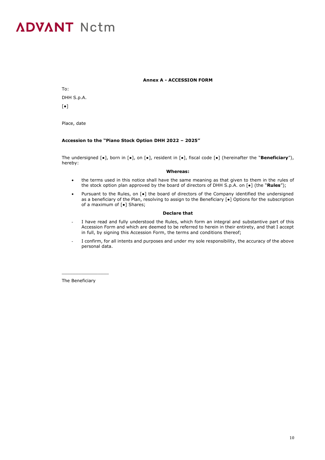### **Annex A - ACCESSION FORM**

To: DHH S.p.A.  $\lceil \bullet \rceil$ 

Place, date

### **Accession to the "Piano Stock Option DHH 2022 – 2025"**

The undersigned [●], born in [●], on [●], resident in [●], fiscal code [●] (hereinafter the "**Beneficiary**"), hereby:

#### **Whereas:**

- the terms used in this notice shall have the same meaning as that given to them in the rules of the stock option plan approved by the board of directors of DHH S.p.A. on [●] (the "**Rules**");
- Pursuant to the Rules, on [●] the board of directors of the Company identified the undersigned as a beneficiary of the Plan, resolving to assign to the Beneficiary [●] Options for the subscription of a maximum of [●] Shares;

### **Declare that**

- I have read and fully understood the Rules, which form an integral and substantive part of this Accession Form and which are deemed to be referred to herein in their entirety, and that I accept in full, by signing this Accession Form, the terms and conditions thereof;
- I confirm, for all intents and purposes and under my sole responsibility, the accuracy of the above personal data.

The Beneficiary

 $\_$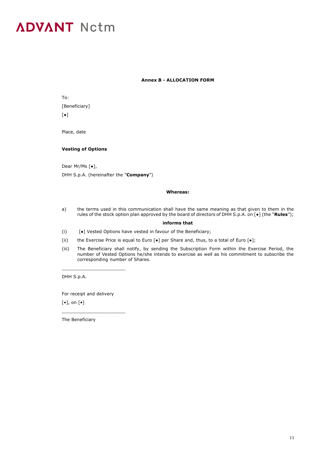### **Annex B - ALLOCATION FORM**

| To:                     |  |
|-------------------------|--|
| [Beneficiary]           |  |
| $\lceil \bullet \rceil$ |  |

Place, date

### **Vesting of Options**

Dear Mr/Ms [●], DHH S.p.A. (hereinafter the "**Company**")

### **Whereas:**

a) the terms used in this communication shall have the same meaning as that given to them in the rules of the stock option plan approved by the board of directors of DHH S.p.A. on [●] (the "**Rules**");

### **informs that**

- (i) [●] Vested Options have vested in favour of the Beneficiary;
- (ii) the Exercise Price is equal to Euro  $[\bullet]$  per Share and, thus, to a total of Euro  $[\bullet]$ ;
- (iii) The Beneficiary shall notify, by sending the Subscription Form within the Exercise Period, the number of Vested Options he/she intends to exercise as well as his commitment to subscribe the corresponding number of Shares.

DHH S.p.A.

For receipt and delivery

\_\_\_\_\_\_\_\_\_\_\_\_\_\_\_\_\_\_\_\_\_\_\_

\_\_\_\_\_\_\_\_\_\_\_\_\_\_\_\_\_\_\_\_\_\_\_

 $\lceil \bullet \rceil$ , on  $\lceil \bullet \rceil$ 

The Beneficiary